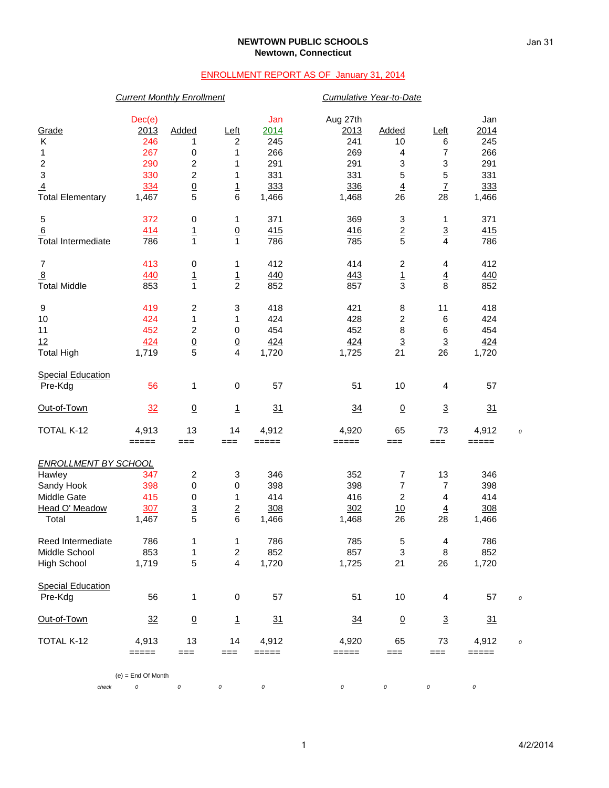## **NEWTOWN PUBLIC SCHOOLS Newtown, Connecticut**

## ENROLLMENT REPORT AS OF January 31, 2014

|                             | <b>Current Monthly Enrollment</b> |                         |                         |          | Cumulative Year-to-Date |                         |                 |         |  |
|-----------------------------|-----------------------------------|-------------------------|-------------------------|----------|-------------------------|-------------------------|-----------------|---------|--|
|                             | Dec(e)                            |                         |                         | Jan      | Aug 27th                |                         |                 | Jan     |  |
| Grade                       | 2013                              | Added                   | $L$ eft                 | 2014     | 2013                    | Added                   | $L$ eft         | 2014    |  |
| Κ                           | 246                               | 1                       | 2                       | 245      | 241                     | 10                      | 6               | 245     |  |
| 1                           | 267                               | 0                       | 1                       | 266      | 269                     | 4                       | $\overline{7}$  | 266     |  |
| $\boldsymbol{2}$            | 290                               | $\overline{\mathbf{c}}$ | 1                       | 291      | 291                     | 3                       | 3               | 291     |  |
| $\ensuremath{\mathsf{3}}$   | 330                               | $\overline{c}$          | 1                       | 331      | 331                     | 5                       | 5               | 331     |  |
| $\overline{4}$              | 334                               | $\overline{0}$          | $\overline{1}$          | 333      | 336                     | $\overline{4}$          | $\overline{1}$  | 333     |  |
| <b>Total Elementary</b>     | 1,467                             | 5                       | 6                       | 1,466    | 1,468                   | 26                      | 28              | 1,466   |  |
| $\sqrt{5}$                  | 372                               | $\pmb{0}$               | 1                       | 371      | 369                     | 3                       | 1               | 371     |  |
| 6                           | 414                               | $\frac{1}{1}$           | $\underline{0}$         | 415      | 416                     | $\frac{2}{5}$           | $\frac{3}{4}$   | 415     |  |
| <b>Total Intermediate</b>   | 786                               |                         | 1                       | 786      | 785                     |                         |                 | 786     |  |
| $\overline{7}$              | 413                               | $\pmb{0}$               | 1                       | 412      | 414                     | $\overline{\mathbf{c}}$ | 4               | 412     |  |
| $\overline{8}$              | 440                               | $\overline{1}$          | $\frac{1}{2}$           | 440      | 443                     | $\frac{1}{3}$           | $\overline{4}$  | 440     |  |
| <b>Total Middle</b>         | 853                               | $\overline{1}$          |                         | 852      | 857                     |                         | 8               | 852     |  |
| $\boldsymbol{9}$            | 419                               | $\overline{\mathbf{c}}$ | 3                       | 418      | 421                     | 8                       | 11              | 418     |  |
| 10                          | 424                               | $\mathbf{1}$            | 1                       | 424      | 428                     | $\overline{c}$          | $\,6$           | 424     |  |
| 11                          | 452                               | $\boldsymbol{2}$        | $\mathbf 0$             | 454      | 452                     | $\bf8$                  | 6               | 454     |  |
| 12                          | 424                               |                         | $\frac{0}{4}$           | 424      | 424                     | $\overline{3}$          | $\overline{3}$  | 424     |  |
| <b>Total High</b>           | 1,719                             | $\frac{0}{5}$           |                         | 1,720    | 1,725                   | 21                      | 26              | 1,720   |  |
| <b>Special Education</b>    |                                   |                         |                         |          |                         |                         |                 |         |  |
| Pre-Kdg                     | 56                                | 1                       | 0                       | 57       | 51                      | 10                      | 4               | 57      |  |
| Out-of-Town                 | 32                                | $\underline{0}$         | $\overline{1}$          | 31       | 34                      | $\underline{0}$         | $\overline{3}$  | 31      |  |
| TOTAL K-12                  | 4,913                             | 13                      | 14                      | 4,912    | 4,920                   | 65                      | 73              | 4,912   |  |
|                             | $=====$                           | $==$                    | $==$                    | =====    | =====                   | $==$                    | $==$            | $=====$ |  |
| <b>ENROLLMENT BY SCHOOL</b> |                                   |                         |                         |          |                         |                         |                 |         |  |
| Hawley                      | 347                               | $\overline{\mathbf{c}}$ | 3                       | 346      | 352                     | $\overline{7}$          | 13              | 346     |  |
| Sandy Hook                  | 398                               | $\pmb{0}$               | 0                       | 398      | 398                     | $\overline{7}$          | $\overline{7}$  | 398     |  |
| Middle Gate                 | 415                               | 0                       | 1                       | 414      | 416                     | $\boldsymbol{2}$        | 4               | 414     |  |
| Head O' Meadow              | 30 <sub>Z</sub>                   | $\overline{3}$          | $\overline{2}$          | 308      | 302                     | 10                      | $\underline{4}$ | 308     |  |
| Total                       | 1,467                             | 5                       | 6                       | 1,466    | 1,468                   | 26                      | 28              | 1,466   |  |
| Reed Intermediate           | 786                               | 1                       | $\mathbf{1}$            | 786      | 785                     | 5                       | 4               | 786     |  |
| Middle School               | 853                               | 1                       | $\overline{c}$          | 852      | 857                     | 3                       | $\bf 8$         | 852     |  |
| <b>High School</b>          | 1,719                             | 5                       | $\overline{\mathbf{4}}$ | 1,720    | 1,725                   | 21                      | 26              | 1,720   |  |
| <b>Special Education</b>    |                                   |                         |                         |          |                         |                         |                 |         |  |
| Pre-Kdg                     | 56                                | 1                       | $\pmb{0}$               | 57       | 51                      | 10                      | 4               | 57      |  |
| Out-of-Town                 | 32                                | $\underline{0}$         | $\overline{1}$          | 31       | $\frac{34}{5}$          | $\underline{0}$         | $\overline{3}$  | 31      |  |
| TOTAL K-12                  | 4,913                             | 13                      | 14                      | 4,912    | 4,920                   | 65                      | 73              | 4,912   |  |
|                             | $=====$                           | $==$                    | ===                     | =====    | =====                   | ===                     | ===             | $=====$ |  |
| check                       | $(e)$ = End Of Month<br>$\cal O$  | 0                       | 0                       | $\cal O$ | $\cal O$                | 0                       | 0               | 0       |  |
|                             |                                   |                         |                         |          |                         |                         |                 |         |  |